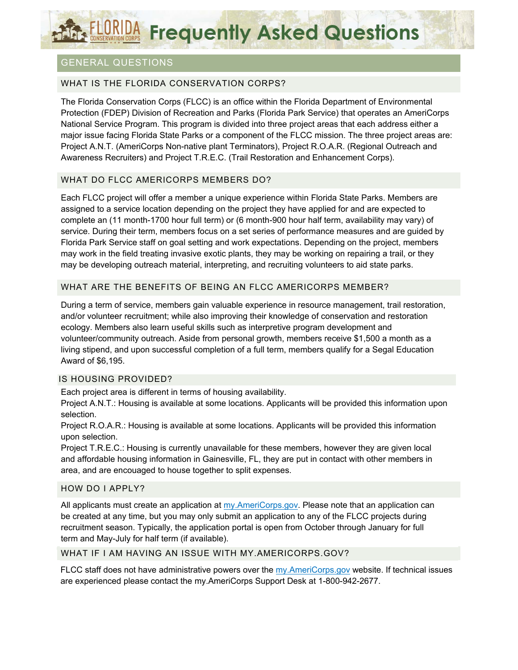# FLORIDA Frequently Asked Questions

# GENERAL QUESTIONS

## WHAT IS THE FLORIDA CONSERVATION CORPS?

The Florida Conservation Corps (FLCC) is an office within the Florida Department of Environmental Protection (FDEP) Division of Recreation and Parks (Florida Park Service) that operates an AmeriCorps National Service Program. This program is divided into three project areas that each address either a major issue facing Florida State Parks or a component of the FLCC mission. The three project areas are: Project A.N.T. (AmeriCorps Non-native plant Terminators), Project R.O.A.R. (Regional Outreach and Awareness Recruiters) and Project T.R.E.C. (Trail Restoration and Enhancement Corps).

## WHAT DO FLCC AMERICORPS MEMBERS DO?

Each FLCC project will offer a member a unique experience within Florida State Parks. Members are assigned to a service location depending on the project they have applied for and are expected to complete an (11 month-1700 hour full term) or (6 month-900 hour half term, availability may vary) of service. During their term, members focus on a set series of performance measures and are guided by Florida Park Service staff on goal setting and work expectations. Depending on the project, members may work in the field treating invasive exotic plants, they may be working on repairing a trail, or they may be developing outreach material, interpreting, and recruiting volunteers to aid state parks.

## WHAT ARE THE BENEFITS OF BEING AN FLCC AMERICORPS MEMBER?

During a term of service, members gain valuable experience in resource management, trail restoration, and/or volunteer recruitment; while also improving their knowledge of conservation and restoration ecology. Members also learn useful skills such as interpretive program development and volunteer/community outreach. Aside from personal growth, members receive \$1,500 a month as a living stipend, and upon successful completion of a full term, members qualify for a Segal Education Award of \$6,195.

#### IS HOUSING PROVIDED?

Each project area is different in terms of housing availability.

Project A.N.T.: Housing is available at some locations. Applicants will be provided this information upon selection.

Project R.O.A.R.: Housing is available at some locations. Applicants will be provided this information upon selection.

Project T.R.E.C.: Housing is currently unavailable for these members, however they are given local and affordable housing information in Gainesville, FL, they are put in contact with other members in area, and are encouaged to house together to split expenses.

#### HOW DO I APPLY?

All applicants must create an application at my.AmeriCorps.gov. Please note that an application can be created at any time, but you may only submit an application to any of the FLCC projects during recruitment season. Typically, the application portal is open from October through January for full term and May-July for half term (if available).

#### WHAT IF I AM HAVING AN ISSUE WITH MY.AMERICORPS.GOV?

FLCC staff does not have administrative powers over the my.AmeriCorps.gov website. If technical issues are experienced please contact the my.AmeriCorps Support Desk at 1-800-942-2677.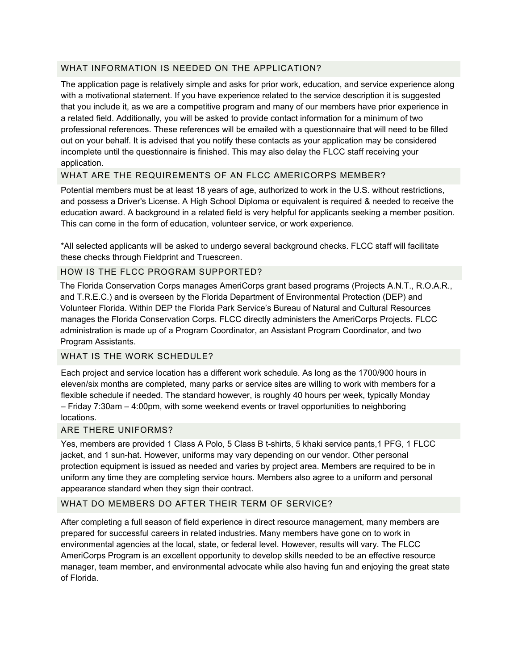### WHAT INFORMATION IS NEEDED ON THE APPLICATION?

The application page is relatively simple and asks for prior work, education, and service experience along with a motivational statement. If you have experience related to the service description it is suggested that you include it, as we are a competitive program and many of our members have prior experience in a related field. Additionally, you will be asked to provide contact information for a minimum of two professional references. These references will be emailed with a questionnaire that will need to be filled out on your behalf. It is advised that you notify these contacts as your application may be considered incomplete until the questionnaire is finished. This may also delay the FLCC staff receiving your application.

## WHAT ARE THE REQUIREMENTS OF AN FLCC AMERICORPS MEMBER?

Potential members must be at least 18 years of age, authorized to work in the U.S. without restrictions, and possess a Driver's License. A High School Diploma or equivalent is required & needed to receive the education award. A background in a related field is very helpful for applicants seeking a member position. This can come in the form of education, volunteer service, or work experience.

\*All selected applicants will be asked to undergo several background checks. FLCC staff will facilitate these checks through Fieldprint and Truescreen.

#### HOW IS THE FLCC PROGRAM SUPPORTED?

The Florida Conservation Corps manages AmeriCorps grant based programs (Projects A.N.T., R.O.A.R., and T.R.E.C.) and is overseen by the Florida Department of Environmental Protection (DEP) and Volunteer Florida. Within DEP the Florida Park Service's Bureau of Natural and Cultural Resources manages the Florida Conservation Corps. FLCC directly administers the AmeriCorps Projects. FLCC administration is made up of a Program Coordinator, an Assistant Program Coordinator, and two Program Assistants.

# WHAT IS THE WORK SCHEDULE?

Each project and service location has a different work schedule. As long as the 1700/900 hours in eleven/six months are completed, many parks or service sites are willing to work with members for a flexible schedule if needed. The standard however, is roughly 40 hours per week, typically Monday – Friday 7:30am – 4:00pm, with some weekend events or travel opportunities to neighboring locations.

#### ARE THERE UNIFORMS?

Yes, members are provided 1 Class A Polo, 5 Class B t-shirts, 5 khaki service pants,1 PFG, 1 FLCC jacket, and 1 sun-hat. However, uniforms may vary depending on our vendor. Other personal protection equipment is issued as needed and varies by project area. Members are required to be in uniform any time they are completing service hours. Members also agree to a uniform and personal appearance standard when they sign their contract.

#### WHAT DO MEMBERS DO AFTER THEIR TERM OF SERVICE?

After completing a full season of field experience in direct resource management, many members are prepared for successful careers in related industries. Many members have gone on to work in environmental agencies at the local, state, or federal level. However, results will vary. The FLCC AmeriCorps Program is an excellent opportunity to develop skills needed to be an effective resource manager, team member, and environmental advocate while also having fun and enjoying the great state of Florida.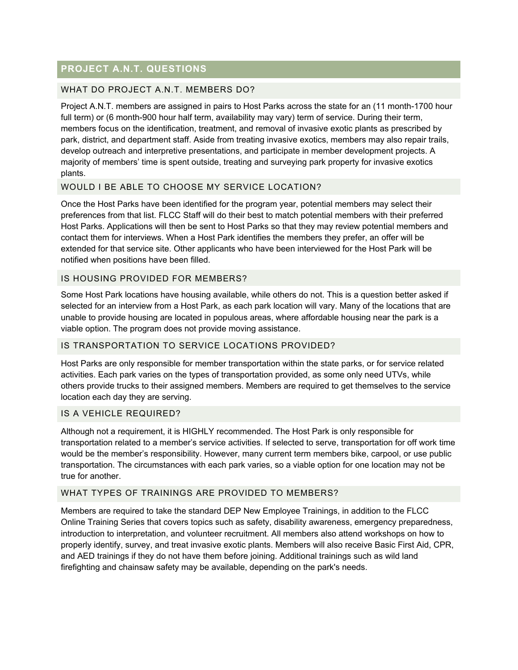# **PROJECT A.N.T. QUESTIONS**

### WHAT DO PROJECT A.N.T. MEMBERS DO?

Project A.N.T. members are assigned in pairs to Host Parks across the state for an (11 month-1700 hour full term) or (6 month-900 hour half term, availability may vary) term of service. During their term, members focus on the identification, treatment, and removal of invasive exotic plants as prescribed by park, district, and department staff. Aside from treating invasive exotics, members may also repair trails, develop outreach and interpretive presentations, and participate in member development projects. A majority of members' time is spent outside, treating and surveying park property for invasive exotics plants.

#### WOULD I BE ABLE TO CHOOSE MY SERVICE LOCATION?

Once the Host Parks have been identified for the program year, potential members may select their preferences from that list. FLCC Staff will do their best to match potential members with their preferred Host Parks. Applications will then be sent to Host Parks so that they may review potential members and contact them for interviews. When a Host Park identifies the members they prefer, an offer will be extended for that service site. Other applicants who have been interviewed for the Host Park will be notified when positions have been filled.

#### IS HOUSING PROVIDED FOR MEMBERS?

Some Host Park locations have housing available, while others do not. This is a question better asked if selected for an interview from a Host Park, as each park location will vary. Many of the locations that are unable to provide housing are located in populous areas, where affordable housing near the park is a viable option. The program does not provide moving assistance.

#### IS TRANSPORTATION TO SERVICE LOCATIONS PROVIDED?

Host Parks are only responsible for member transportation within the state parks, or for service related activities. Each park varies on the types of transportation provided, as some only need UTVs, while others provide trucks to their assigned members. Members are required to get themselves to the service location each day they are serving.

#### IS A VEHICLE REQUIRED?

Although not a requirement, it is HIGHLY recommended. The Host Park is only responsible for transportation related to a member's service activities. If selected to serve, transportation for off work time would be the member's responsibility. However, many current term members bike, carpool, or use public transportation. The circumstances with each park varies, so a viable option for one location may not be true for another.

#### WHAT TYPES OF TRAININGS ARE PROVIDED TO MEMBERS?

Members are required to take the standard DEP New Employee Trainings, in addition to the FLCC Online Training Series that covers topics such as safety, disability awareness, emergency preparedness, introduction to interpretation, and volunteer recruitment. All members also attend workshops on how to properly identify, survey, and treat invasive exotic plants. Members will also receive Basic First Aid, CPR, and AED trainings if they do not have them before joining. Additional trainings such as wild land firefighting and chainsaw safety may be available, depending on the park's needs.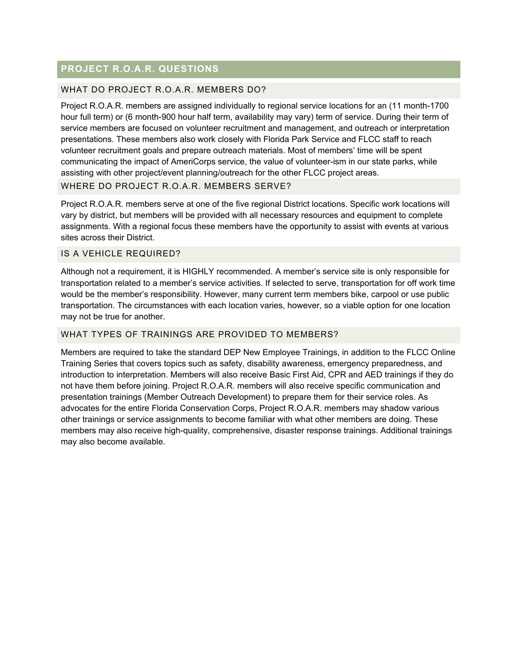# **PROJECT R.O.A.R. QUESTIONS**

#### WHAT DO PROJECT R.O.A.R. MEMBERS DO?

Project R.O.A.R. members are assigned individually to regional service locations for an (11 month-1700 hour full term) or (6 month-900 hour half term, availability may vary) term of service. During their term of service members are focused on volunteer recruitment and management, and outreach or interpretation presentations. These members also work closely with Florida Park Service and FLCC staff to reach volunteer recruitment goals and prepare outreach materials. Most of members' time will be spent communicating the impact of AmeriCorps service, the value of volunteer-ism in our state parks, while assisting with other project/event planning/outreach for the other FLCC project areas.

#### WHERE DO PROJECT R.O.A.R. MEMBERS SERVE?

Project R.O.A.R. members serve at one of the five regional District locations. Specific work locations will vary by district, but members will be provided with all necessary resources and equipment to complete assignments. With a regional focus these members have the opportunity to assist with events at various sites across their District.

#### IS A VEHICLE REQUIRED?

Although not a requirement, it is HIGHLY recommended. A member's service site is only responsible for transportation related to a member's service activities. If selected to serve, transportation for off work time would be the member's responsibility. However, many current term members bike, carpool or use public transportation. The circumstances with each location varies, however, so a viable option for one location may not be true for another.

#### WHAT TYPES OF TRAININGS ARE PROVIDED TO MEMBERS?

Members are required to take the standard DEP New Employee Trainings, in addition to the FLCC Online Training Series that covers topics such as safety, disability awareness, emergency preparedness, and introduction to interpretation. Members will also receive Basic First Aid, CPR and AED trainings if they do not have them before joining. Project R.O.A.R. members will also receive specific communication and presentation trainings (Member Outreach Development) to prepare them for their service roles. As advocates for the entire Florida Conservation Corps, Project R.O.A.R. members may shadow various other trainings or service assignments to become familiar with what other members are doing. These members may also receive high-quality, comprehensive, disaster response trainings. Additional trainings may also become available.